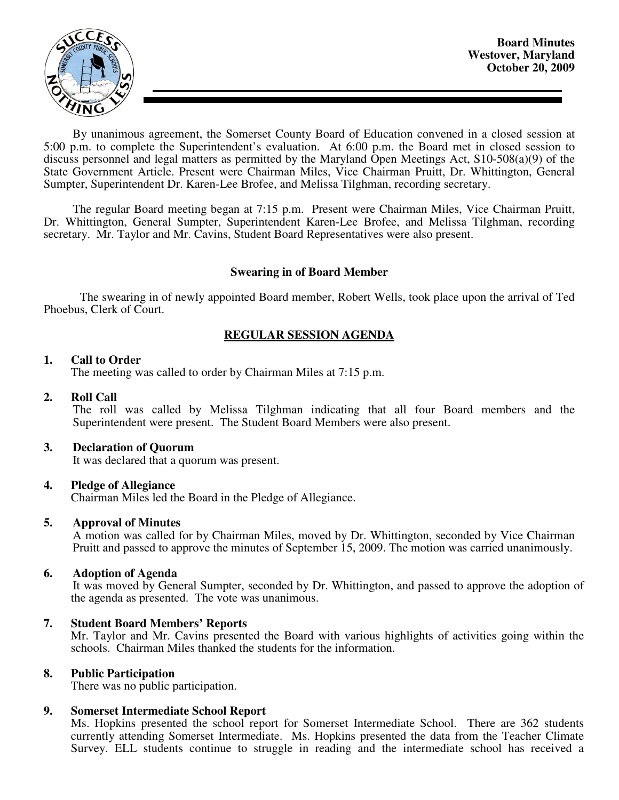

By unanimous agreement, the Somerset County Board of Education convened in a closed session at 5:00 p.m. to complete the Superintendent's evaluation. At 6:00 p.m. the Board met in closed session to discuss personnel and legal matters as permitted by the Maryland Open Meetings Act, S10-508(a)(9) of the State Government Article. Present were Chairman Miles, Vice Chairman Pruitt, Dr. Whittington, General Sumpter, Superintendent Dr. Karen-Lee Brofee, and Melissa Tilghman, recording secretary.

The regular Board meeting began at 7:15 p.m. Present were Chairman Miles, Vice Chairman Pruitt, Dr. Whittington, General Sumpter, Superintendent Karen-Lee Brofee, and Melissa Tilghman, recording secretary. Mr. Taylor and Mr. Cavins, Student Board Representatives were also present.

### **Swearing in of Board Member**

 The swearing in of newly appointed Board member, Robert Wells, took place upon the arrival of Ted Phoebus, Clerk of Court.

## **REGULAR SESSION AGENDA**

### **1. Call to Order**

The meeting was called to order by Chairman Miles at 7:15 p.m.

#### **2. Roll Call**

The roll was called by Melissa Tilghman indicating that all four Board members and the Superintendent were present. The Student Board Members were also present.

#### **3. Declaration of Quorum**

It was declared that a quorum was present.

#### **4. Pledge of Allegiance**

Chairman Miles led the Board in the Pledge of Allegiance.

#### **5. Approval of Minutes**

 A motion was called for by Chairman Miles, moved by Dr. Whittington, seconded by Vice Chairman Pruitt and passed to approve the minutes of September 15, 2009. The motion was carried unanimously.

#### **6. Adoption of Agenda**

 It was moved by General Sumpter, seconded by Dr. Whittington, and passed to approve the adoption of the agenda as presented. The vote was unanimous.

## **7. Student Board Members' Reports**

Mr. Taylor and Mr. Cavins presented the Board with various highlights of activities going within the schools. Chairman Miles thanked the students for the information.

#### **8. Public Participation**

There was no public participation.

## **9. Somerset Intermediate School Report**

Ms. Hopkins presented the school report for Somerset Intermediate School. There are 362 students currently attending Somerset Intermediate. Ms. Hopkins presented the data from the Teacher Climate Survey. ELL students continue to struggle in reading and the intermediate school has received a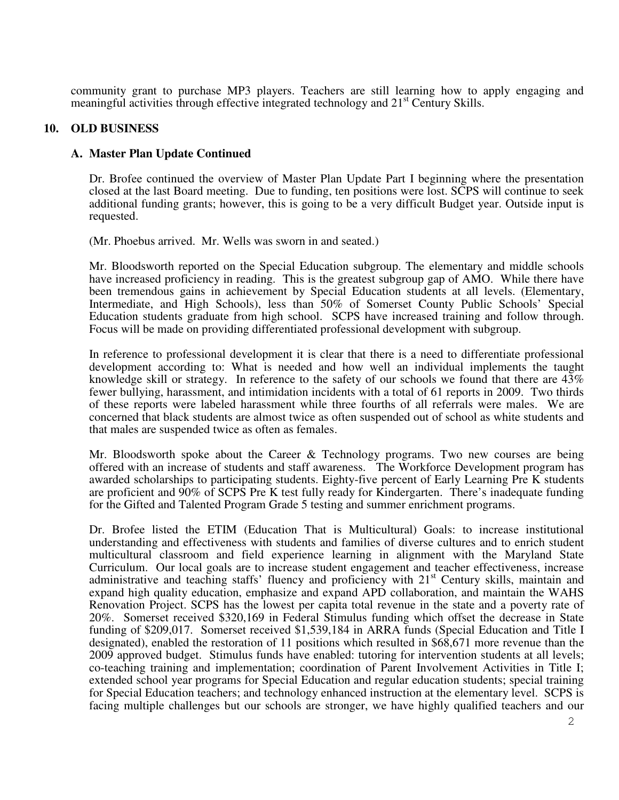community grant to purchase MP3 players. Teachers are still learning how to apply engaging and meaningful activities through effective integrated technology and  $21<sup>st</sup>$  Century Skills.

### **10. OLD BUSINESS**

### **A. Master Plan Update Continued**

Dr. Brofee continued the overview of Master Plan Update Part I beginning where the presentation closed at the last Board meeting. Due to funding, ten positions were lost. SCPS will continue to seek additional funding grants; however, this is going to be a very difficult Budget year. Outside input is requested.

(Mr. Phoebus arrived. Mr. Wells was sworn in and seated.)

Mr. Bloodsworth reported on the Special Education subgroup. The elementary and middle schools have increased proficiency in reading. This is the greatest subgroup gap of AMO. While there have been tremendous gains in achievement by Special Education students at all levels. (Elementary, Intermediate, and High Schools), less than 50% of Somerset County Public Schools' Special Education students graduate from high school. SCPS have increased training and follow through. Focus will be made on providing differentiated professional development with subgroup.

In reference to professional development it is clear that there is a need to differentiate professional development according to: What is needed and how well an individual implements the taught knowledge skill or strategy. In reference to the safety of our schools we found that there are 43% fewer bullying, harassment, and intimidation incidents with a total of 61 reports in 2009. Two thirds of these reports were labeled harassment while three fourths of all referrals were males. We are concerned that black students are almost twice as often suspended out of school as white students and that males are suspended twice as often as females.

Mr. Bloodsworth spoke about the Career  $\&$  Technology programs. Two new courses are being offered with an increase of students and staff awareness. The Workforce Development program has awarded scholarships to participating students. Eighty-five percent of Early Learning Pre K students are proficient and 90% of SCPS Pre K test fully ready for Kindergarten. There's inadequate funding for the Gifted and Talented Program Grade 5 testing and summer enrichment programs.

 Dr. Brofee listed the ETIM (Education That is Multicultural) Goals: to increase institutional understanding and effectiveness with students and families of diverse cultures and to enrich student multicultural classroom and field experience learning in alignment with the Maryland State Curriculum. Our local goals are to increase student engagement and teacher effectiveness, increase administrative and teaching staffs' fluency and proficiency with 21<sup>st</sup> Century skills, maintain and expand high quality education, emphasize and expand APD collaboration, and maintain the WAHS Renovation Project. SCPS has the lowest per capita total revenue in the state and a poverty rate of 20%. Somerset received \$320,169 in Federal Stimulus funding which offset the decrease in State funding of \$209,017. Somerset received \$1,539,184 in ARRA funds (Special Education and Title I designated), enabled the restoration of 11 positions which resulted in \$68,671 more revenue than the 2009 approved budget. Stimulus funds have enabled: tutoring for intervention students at all levels; co-teaching training and implementation; coordination of Parent Involvement Activities in Title I; extended school year programs for Special Education and regular education students; special training for Special Education teachers; and technology enhanced instruction at the elementary level. SCPS is facing multiple challenges but our schools are stronger, we have highly qualified teachers and our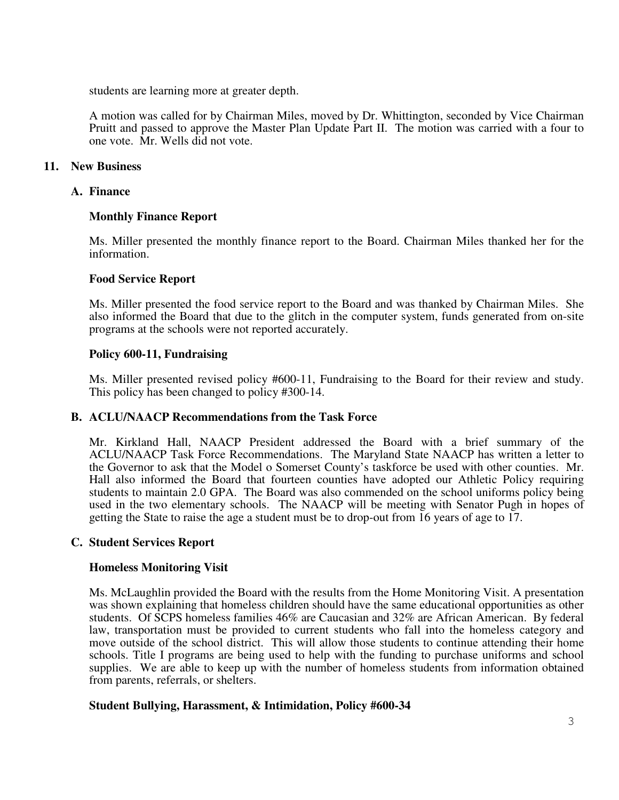students are learning more at greater depth.

A motion was called for by Chairman Miles, moved by Dr. Whittington, seconded by Vice Chairman Pruitt and passed to approve the Master Plan Update Part II. The motion was carried with a four to one vote. Mr. Wells did not vote.

# **11. New Business**

## **A. Finance**

## **Monthly Finance Report**

Ms. Miller presented the monthly finance report to the Board. Chairman Miles thanked her for the information.

### **Food Service Report**

Ms. Miller presented the food service report to the Board and was thanked by Chairman Miles. She also informed the Board that due to the glitch in the computer system, funds generated from on-site programs at the schools were not reported accurately.

### **Policy 600-11, Fundraising**

Ms. Miller presented revised policy #600-11, Fundraising to the Board for their review and study. This policy has been changed to policy #300-14.

## **B. ACLU/NAACP Recommendations from the Task Force**

Mr. Kirkland Hall, NAACP President addressed the Board with a brief summary of the ACLU/NAACP Task Force Recommendations. The Maryland State NAACP has written a letter to the Governor to ask that the Model o Somerset County's taskforce be used with other counties. Mr. Hall also informed the Board that fourteen counties have adopted our Athletic Policy requiring students to maintain 2.0 GPA. The Board was also commended on the school uniforms policy being used in the two elementary schools. The NAACP will be meeting with Senator Pugh in hopes of getting the State to raise the age a student must be to drop-out from 16 years of age to 17.

#### **C. Student Services Report**

#### **Homeless Monitoring Visit**

Ms. McLaughlin provided the Board with the results from the Home Monitoring Visit. A presentation was shown explaining that homeless children should have the same educational opportunities as other students. Of SCPS homeless families 46% are Caucasian and 32% are African American. By federal law, transportation must be provided to current students who fall into the homeless category and move outside of the school district. This will allow those students to continue attending their home schools. Title I programs are being used to help with the funding to purchase uniforms and school supplies. We are able to keep up with the number of homeless students from information obtained from parents, referrals, or shelters.

## **Student Bullying, Harassment, & Intimidation, Policy #600-34**